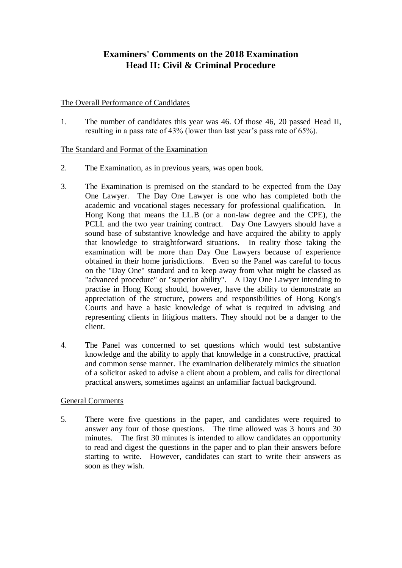# **Examiners' Comments on the 2018 Examination Head II: Civil & Criminal Procedure**

### The Overall Performance of Candidates

1. The number of candidates this year was 46. Of those 46, 20 passed Head II, resulting in a pass rate of 43% (lower than last year's pass rate of 65%).

### The Standard and Format of the Examination

- 2. The Examination, as in previous years, was open book.
- 3. The Examination is premised on the standard to be expected from the Day One Lawyer. The Day One Lawyer is one who has completed both the academic and vocational stages necessary for professional qualification. In Hong Kong that means the LL.B (or a non-law degree and the CPE), the PCLL and the two year training contract. Day One Lawyers should have a sound base of substantive knowledge and have acquired the ability to apply that knowledge to straightforward situations. In reality those taking the examination will be more than Day One Lawyers because of experience obtained in their home jurisdictions. Even so the Panel was careful to focus on the "Day One" standard and to keep away from what might be classed as "advanced procedure" or "superior ability". A Day One Lawyer intending to practise in Hong Kong should, however, have the ability to demonstrate an appreciation of the structure, powers and responsibilities of Hong Kong's Courts and have a basic knowledge of what is required in advising and representing clients in litigious matters. They should not be a danger to the client.
- 4. The Panel was concerned to set questions which would test substantive knowledge and the ability to apply that knowledge in a constructive, practical and common sense manner. The examination deliberately mimics the situation of a solicitor asked to advise a client about a problem, and calls for directional practical answers, sometimes against an unfamiliar factual background.

# General Comments

5. There were five questions in the paper, and candidates were required to answer any four of those questions. The time allowed was 3 hours and 30 minutes. The first 30 minutes is intended to allow candidates an opportunity to read and digest the questions in the paper and to plan their answers before starting to write. However, candidates can start to write their answers as soon as they wish.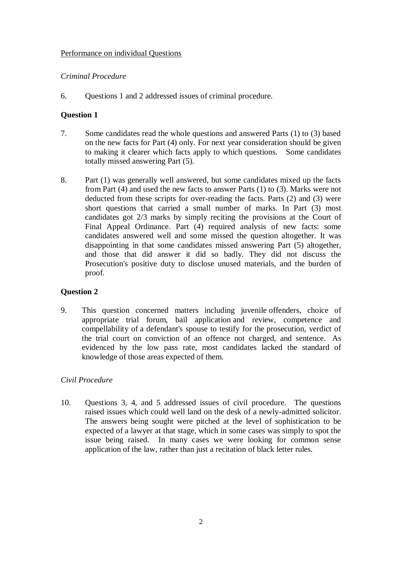#### Performance on individual Questions

#### *Criminal Procedure*

6. Questions 1 and 2 addressed issues of criminal procedure.

# **Question 1**

- 7. Some candidates read the whole questions and answered Parts (1) to (3) based on the new facts for Part (4) only. For next year consideration should be given to making it clearer which facts apply to which questions. Some candidates totally missed answering Part (5).
- 8. Part (1) was generally well answered, but some candidates mixed up the facts from Part (4) and used the new facts to answer Parts (1) to (3). Marks were not deducted from these scripts for over-reading the facts. Parts (2) and (3) were short questions that carried a small number of marks. In Part (3) most candidates got 2/3 marks by simply reciting the provisions at the Court of Final Appeal Ordinance. Part (4) required analysis of new facts: some candidates answered well and some missed the question altogether. It was disappointing in that some candidates missed answering Part (5) altogether, and those that did answer it did so badly. They did not discuss the Prosecution's positive duty to disclose unused materials, and the burden of proof.

# **Question 2**

9. This question concerned matters including juvenile offenders, choice of appropriate trial forum, bail application and review, competence and compellability of a defendant's spouse to testify for the prosecution, verdict of the trial court on conviction of an offence not charged, and sentence. As evidenced by the low pass rate, most candidates lacked the standard of knowledge of those areas expected of them.

#### *Civil Procedure*

10. Questions 3, 4, and 5 addressed issues of civil procedure. The questions raised issues which could well land on the desk of a newly-admitted solicitor. The answers being sought were pitched at the level of sophistication to be expected of a lawyer at that stage, which in some cases was simply to spot the issue being raised. In many cases we were looking for common sense application of the law, rather than just a recitation of black letter rules.